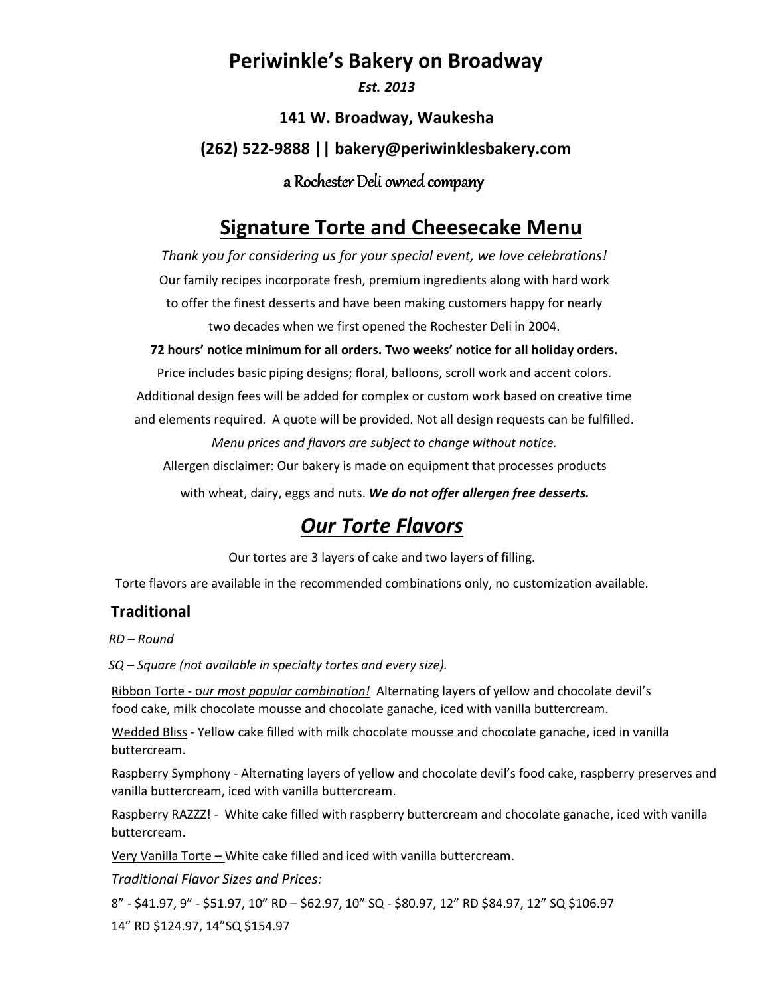## **Periwinkle's Bakery on Broadway**

*Est. 2013*

**141 W. Broadway, Waukesha (262) 522-9888 || bakery@periwinklesbakery.com** a Rochester Deli owned company

# **Signature Torte and Cheesecake Menu**

*Thank you for considering us for your special event, we love celebrations!*  Our family recipes incorporate fresh, premium ingredients along with hard work to offer the finest desserts and have been making customers happy for nearly two decades when we first opened the Rochester Deli in 2004.

**72 hours' notice minimum for all orders. Two weeks' notice for all holiday orders.** 

Price includes basic piping designs; floral, balloons, scroll work and accent colors. Additional design fees will be added for complex or custom work based on creative time and elements required. A quote will be provided. Not all design requests can be fulfilled. *Menu prices and flavors are subject to change without notice.* 

Allergen disclaimer: Our bakery is made on equipment that processes products

with wheat, dairy, eggs and nuts. *We do not offer allergen free desserts.*

# *Our Torte Flavors*

Our tortes are 3 layers of cake and two layers of filling.

Torte flavors are available in the recommended combinations only, no customization available.

### **Traditional**

*RD – Round* 

*SQ – Square (not available in specialty tortes and every size).* 

Ribbon Torte - o*ur most popular combination!* Alternating layers of yellow and chocolate devil's food cake, milk chocolate mousse and chocolate ganache, iced with vanilla buttercream.

Wedded Bliss - Yellow cake filled with milk chocolate mousse and chocolate ganache, iced in vanilla buttercream.

Raspberry Symphony - Alternating layers of yellow and chocolate devil's food cake, raspberry preserves and vanilla buttercream, iced with vanilla buttercream.

Raspberry RAZZZ! - White cake filled with raspberry buttercream and chocolate ganache, iced with vanilla buttercream.

Very Vanilla Torte – White cake filled and iced with vanilla buttercream.

*Traditional Flavor Sizes and Prices:* 

8" - \$41.97, 9" - \$51.97, 10" RD – \$62.97, 10" SQ - \$80.97, 12" RD \$84.97, 12" SQ \$106.97 14" RD \$124.97, 14"SQ \$154.97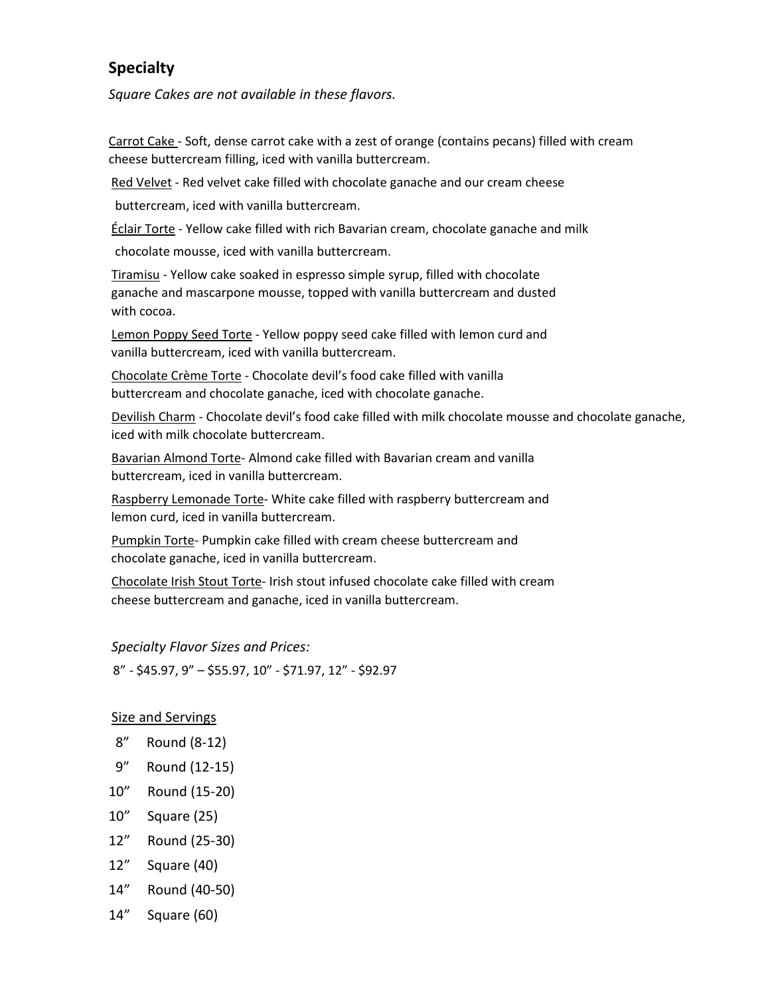### **Specialty**

*Square Cakes are not available in these flavors.* 

Carrot Cake - Soft, dense carrot cake with a zest of orange (contains pecans) filled with cream cheese buttercream filling, iced with vanilla buttercream.

Red Velvet - Red velvet cake filled with chocolate ganache and our cream cheese

buttercream, iced with vanilla buttercream.

Éclair Torte - Yellow cake filled with rich Bavarian cream, chocolate ganache and milk

chocolate mousse, iced with vanilla buttercream.

Tiramisu - Yellow cake soaked in espresso simple syrup, filled with chocolate ganache and mascarpone mousse, topped with vanilla buttercream and dusted with cocoa.

Lemon Poppy Seed Torte - Yellow poppy seed cake filled with lemon curd and vanilla buttercream, iced with vanilla buttercream.

Chocolate Crème Torte - Chocolate devil's food cake filled with vanilla buttercream and chocolate ganache, iced with chocolate ganache.

Devilish Charm - Chocolate devil's food cake filled with milk chocolate mousse and chocolate ganache, iced with milk chocolate buttercream.

Bavarian Almond Torte- Almond cake filled with Bavarian cream and vanilla buttercream, iced in vanilla buttercream.

Raspberry Lemonade Torte- White cake filled with raspberry buttercream and lemon curd, iced in vanilla buttercream.

Pumpkin Torte- Pumpkin cake filled with cream cheese buttercream and chocolate ganache, iced in vanilla buttercream.

Chocolate Irish Stout Torte- Irish stout infused chocolate cake filled with cream cheese buttercream and ganache, iced in vanilla buttercream.

*Specialty Flavor Sizes and Prices:* 

8" - \$45.97, 9" – \$55.97, 10" - \$71.97, 12" - \$92.97

#### Size and Servings

- 8" Round (8-12)
- 9" Round (12-15)
- 10" Round (15-20)
- 10" Square (25)
- 12" Round (25-30)
- 12" Square (40)
- 14" Round (40-50)
- 14" Square (60)